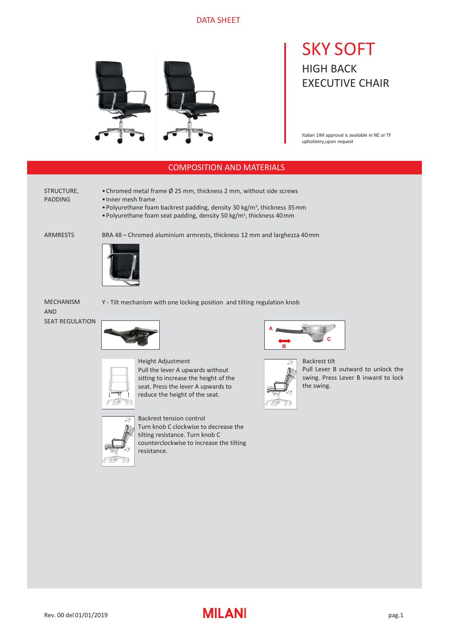## DATA SHEET



# SKY SOFT HIGH BACK EXECUTIVE CHAIR

Italian 1IM approval is available in NE or TF upholstery,upon request

## COMPOSITION AND MATERIALS

STRUCTURE, PADDING

•Chromed metal frame Ø 25 mm, thickness 2 mm, without side screws

- •Inner mesh frame
- Polyurethane foam backrest padding, density 30 kg/m<sup>3</sup>, thickness 35 mm
- Polyurethane foam seat padding, density 50 kg/m<sup>3</sup>, thickness 40 mm

ARMRESTS

BRA 48 – Chromed aluminium armrests, thickness 12 mm and larghezza 40mm



MECHANISM AND SEAT REGULATION









 $\sqrt{2}$ 

Backrest tension control Turn knob C clockwise to decrease the tilting resistance. Turn knob C counterclockwise to increase the tilting resistance.





Backrest tilt Pull Lever B outward to unlock the swing. Press Lever B inward to lock the swing.

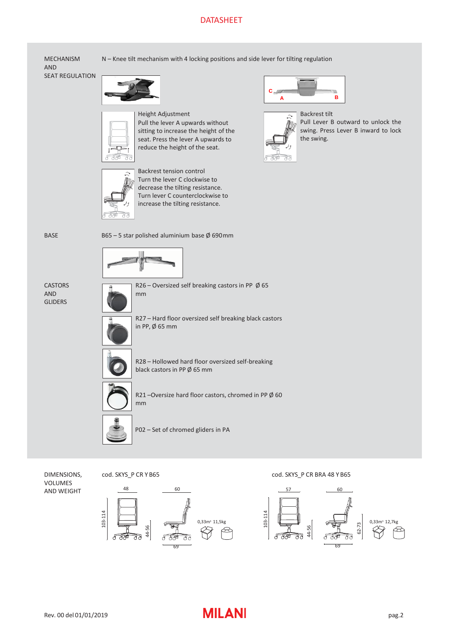## DATASHEET

MECHANISM AND SEAT REGULATION N – Knee tilt mechanism with 4 locking positions and side lever for tilting regulation

Height Adjustment Pull the lever A upwards without sitting to increase the height of the seat. Press the lever A upwards to reduce the height of the seat.



Backrest tension control Turn the lever C clockwise to decrease the tilting resistance. Turn lever C counterclockwise to increase the tilting resistance.





Backrest tilt Pull Lever B outward to unlock the swing. Press Lever B inward to lock the swing.



B65 – 5 star polished aluminium base  $\emptyset$  690mm



**CASTORS** AND GLIDERS

R26 – Oversized self breaking castors in PP  $\emptyset$  65 mm R27 – Hard floor oversized self breaking black castors in PP, Ø 65 mm R28 – Hollowed hard floor oversized self-breaking black castors in PP Ø 65 mm







P02 – Set of chromed gliders in PA

DIMENSIONS, VOLUMES AND WEIGHT



48

103-114

44-56

र्सम





## Rev. 00 del 01/01/2019 **In the case of the MILANI** control of the pag.2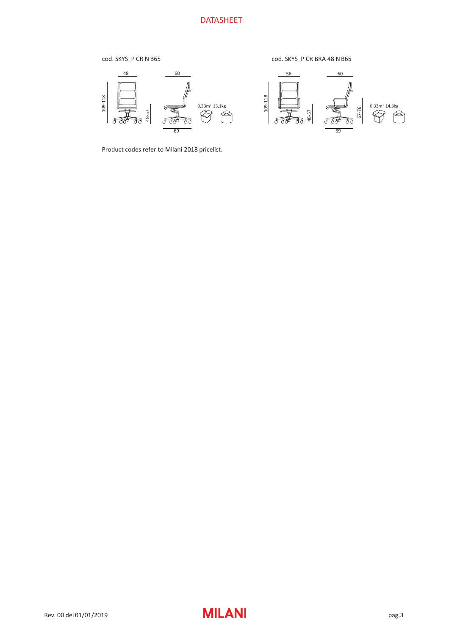#### cod. SKYS\_P CR N B65

cod. SKYS\_P CR BRA 48 N B65



Product codes refer to Milani 2018 pricelist.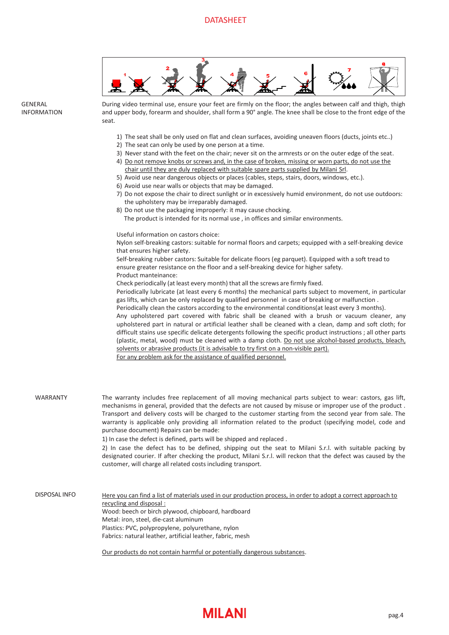

During video terminal use, ensure your feet are firmly on the floor; the angles between calf and thigh, thigh and upper body, forearm and shoulder, shall form a 90° angle. The knee shall be close to the front edge of the seat.

- 1) The seat shall be only used on flat and clean surfaces, avoiding uneaven floors (ducts, joints etc..)
- 2) The seat can only be used by one person at a time.
- 3) Never stand with the feet on the chair; never sit on the armrests or on the outer edge of the seat.
- 4) Do not remove knobs or screws and, in the case of broken, missing or worn parts, do not use the chair until they are duly replaced with suitable spare parts supplied by Milani Srl.
- 5) Avoid use near dangerous objects or places (cables, steps, stairs, doors, windows, etc.).
- 6) Avoid use near walls or objects that may be damaged.
- 7) Do not expose the chair to direct sunlight or in excessively humid environment, do not use outdoors: the upholstery may be irreparably damaged.
- 8) Do not use the packaging improperly: it may cause chocking. The product is intended for its normal use , in offices and similar environments.

Useful information on castors choice:

Nylon self-breaking castors: suitable for normal floors and carpets; equipped with a self-breaking device that ensures higher safety.

Self-breaking rubber castors: Suitable for delicate floors (eg parquet). Equipped with a soft tread to ensure greater resistance on the floor and a self-breaking device for higher safety. Product manteinance:

Check periodically (at least every month) that all the screws are firmly fixed.

Periodically lubricate (at least every 6 months) the mechanical parts subject to movement, in particular gas lifts, which can be only replaced by qualified personnel in case of breaking or malfunction .

Periodically clean the castors according to the environmental conditions(at least every 3 months).

Any upholstered part covered with fabric shall be cleaned with a brush or vacuum cleaner, any upholstered part in natural or artificial leather shall be cleaned with a clean, damp and soft cloth; for difficult stains use specific delicate detergents following the specific product instructions ; all other parts (plastic, metal, wood) must be cleaned with a damp cloth. Do not use alcohol-based products, bleach, solvents or abrasive products (it is advisable to try first on a non-visible part). For any problem ask for the assistance of qualified personnel.

The warranty includes free replacement of all moving mechanical parts subject to wear: castors, gas lift, mechanisms in general, provided that the defects are not caused by misuse or improper use of the product . Transport and delivery costs will be charged to the customer starting from the second year from sale. The warranty is applicable only providing all information related to the product (specifying model, code and purchase document) Repairs can be made: WARRANTY

1) In case the defect is defined, parts will be shipped and replaced .

2) In case the defect has to be defined, shipping out the seat to Milani S.r.l. with suitable packing by designated courier. If after checking the product, Milani S.r.l. will reckon that the defect was caused by the customer, will charge all related costs including transport.

Here you can find a list of materials used in our production process, in order to adopt a correct approach to recycling and disposal : Wood: beech or birch plywood, chipboard, hardboard Metal: iron, steel, die-cast aluminum Plastics: PVC, polypropylene, polyurethane, nylon Fabrics: natural leather, artificial leather, fabric, mesh DISPOSAL INFO

Our products do not contain harmful or potentially dangerous substances.

**GENERAL** INFORMATION